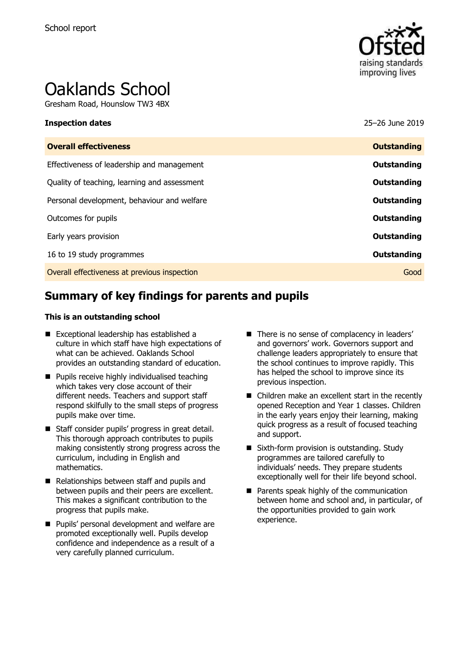

# Oaklands School

Gresham Road, Hounslow TW3 4BX

| <b>Inspection dates</b>                      | 25-26 June 2019    |
|----------------------------------------------|--------------------|
| <b>Overall effectiveness</b>                 | <b>Outstanding</b> |
| Effectiveness of leadership and management   | Outstanding        |
| Quality of teaching, learning and assessment | Outstanding        |
| Personal development, behaviour and welfare  | Outstanding        |
| Outcomes for pupils                          | Outstanding        |
| Early years provision                        | <b>Outstanding</b> |
| 16 to 19 study programmes                    | Outstanding        |
| Overall effectiveness at previous inspection | Good               |
|                                              |                    |

# **Summary of key findings for parents and pupils**

#### **This is an outstanding school**

- **Exceptional leadership has established a** culture in which staff have high expectations of what can be achieved. Oaklands School provides an outstanding standard of education.
- **Pupils receive highly individualised teaching** which takes very close account of their different needs. Teachers and support staff respond skilfully to the small steps of progress pupils make over time.
- Staff consider pupils' progress in great detail. This thorough approach contributes to pupils making consistently strong progress across the curriculum, including in English and mathematics.
- Relationships between staff and pupils and between pupils and their peers are excellent. This makes a significant contribution to the progress that pupils make.
- **Pupils' personal development and welfare are** promoted exceptionally well. Pupils develop confidence and independence as a result of a very carefully planned curriculum.
- There is no sense of complacency in leaders' and governors' work. Governors support and challenge leaders appropriately to ensure that the school continues to improve rapidly. This has helped the school to improve since its previous inspection.
- Children make an excellent start in the recently opened Reception and Year 1 classes. Children in the early years enjoy their learning, making quick progress as a result of focused teaching and support.
- Sixth-form provision is outstanding. Study programmes are tailored carefully to individuals' needs. They prepare students exceptionally well for their life beyond school.
- Parents speak highly of the communication between home and school and, in particular, of the opportunities provided to gain work experience.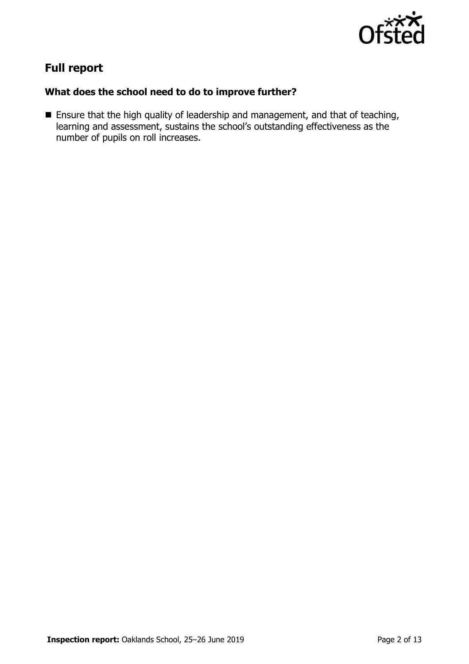

# **Full report**

### **What does the school need to do to improve further?**

**Ensure that the high quality of leadership and management, and that of teaching,** learning and assessment, sustains the school's outstanding effectiveness as the number of pupils on roll increases.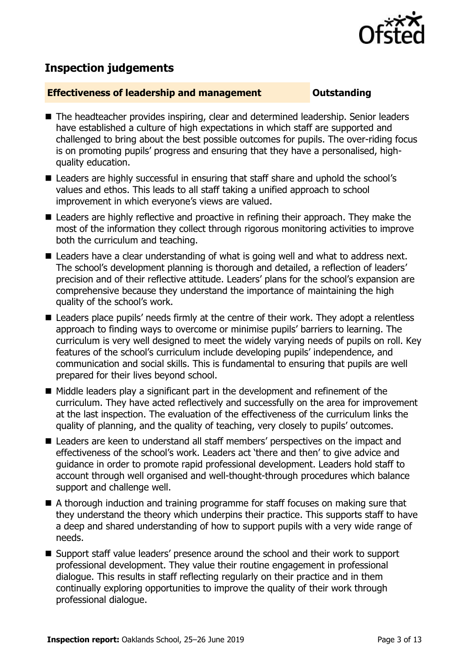

# **Inspection judgements**

#### **Effectiveness of leadership and management Constanding**

- The headteacher provides inspiring, clear and determined leadership. Senior leaders have established a culture of high expectations in which staff are supported and challenged to bring about the best possible outcomes for pupils. The over-riding focus is on promoting pupils' progress and ensuring that they have a personalised, highquality education.
- Leaders are highly successful in ensuring that staff share and uphold the school's values and ethos. This leads to all staff taking a unified approach to school improvement in which everyone's views are valued.
- Leaders are highly reflective and proactive in refining their approach. They make the most of the information they collect through rigorous monitoring activities to improve both the curriculum and teaching.
- Leaders have a clear understanding of what is going well and what to address next. The school's development planning is thorough and detailed, a reflection of leaders' precision and of their reflective attitude. Leaders' plans for the school's expansion are comprehensive because they understand the importance of maintaining the high quality of the school's work.
- Leaders place pupils' needs firmly at the centre of their work. They adopt a relentless approach to finding ways to overcome or minimise pupils' barriers to learning. The curriculum is very well designed to meet the widely varying needs of pupils on roll. Key features of the school's curriculum include developing pupils' independence, and communication and social skills. This is fundamental to ensuring that pupils are well prepared for their lives beyond school.
- $\blacksquare$  Middle leaders play a significant part in the development and refinement of the curriculum. They have acted reflectively and successfully on the area for improvement at the last inspection. The evaluation of the effectiveness of the curriculum links the quality of planning, and the quality of teaching, very closely to pupils' outcomes.
- Leaders are keen to understand all staff members' perspectives on the impact and effectiveness of the school's work. Leaders act 'there and then' to give advice and guidance in order to promote rapid professional development. Leaders hold staff to account through well organised and well-thought-through procedures which balance support and challenge well.
- A thorough induction and training programme for staff focuses on making sure that they understand the theory which underpins their practice. This supports staff to have a deep and shared understanding of how to support pupils with a very wide range of needs.
- Support staff value leaders' presence around the school and their work to support professional development. They value their routine engagement in professional dialogue. This results in staff reflecting regularly on their practice and in them continually exploring opportunities to improve the quality of their work through professional dialogue.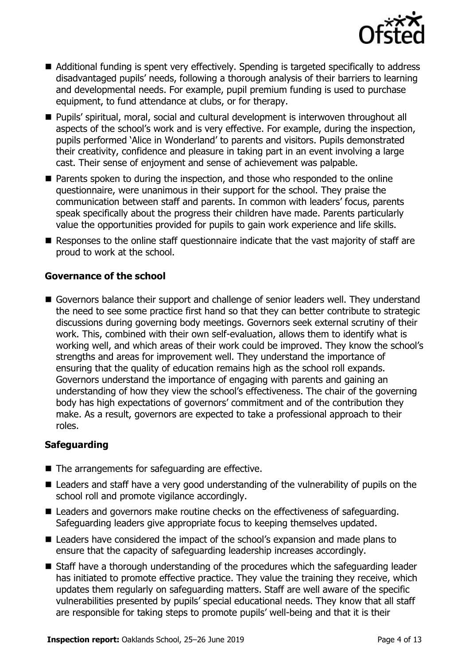

- Additional funding is spent very effectively. Spending is targeted specifically to address disadvantaged pupils' needs, following a thorough analysis of their barriers to learning and developmental needs. For example, pupil premium funding is used to purchase equipment, to fund attendance at clubs, or for therapy.
- Pupils' spiritual, moral, social and cultural development is interwoven throughout all aspects of the school's work and is very effective. For example, during the inspection, pupils performed 'Alice in Wonderland' to parents and visitors. Pupils demonstrated their creativity, confidence and pleasure in taking part in an event involving a large cast. Their sense of enjoyment and sense of achievement was palpable.
- **Parents spoken to during the inspection, and those who responded to the online** questionnaire, were unanimous in their support for the school. They praise the communication between staff and parents. In common with leaders' focus, parents speak specifically about the progress their children have made. Parents particularly value the opportunities provided for pupils to gain work experience and life skills.
- Responses to the online staff questionnaire indicate that the vast majority of staff are proud to work at the school.

### **Governance of the school**

Governors balance their support and challenge of senior leaders well. They understand the need to see some practice first hand so that they can better contribute to strategic discussions during governing body meetings. Governors seek external scrutiny of their work. This, combined with their own self-evaluation, allows them to identify what is working well, and which areas of their work could be improved. They know the school's strengths and areas for improvement well. They understand the importance of ensuring that the quality of education remains high as the school roll expands. Governors understand the importance of engaging with parents and gaining an understanding of how they view the school's effectiveness. The chair of the governing body has high expectations of governors' commitment and of the contribution they make. As a result, governors are expected to take a professional approach to their roles.

### **Safeguarding**

- The arrangements for safeguarding are effective.
- Leaders and staff have a very good understanding of the vulnerability of pupils on the school roll and promote vigilance accordingly.
- Leaders and governors make routine checks on the effectiveness of safeguarding. Safeguarding leaders give appropriate focus to keeping themselves updated.
- Leaders have considered the impact of the school's expansion and made plans to ensure that the capacity of safeguarding leadership increases accordingly.
- Staff have a thorough understanding of the procedures which the safeguarding leader has initiated to promote effective practice. They value the training they receive, which updates them regularly on safeguarding matters. Staff are well aware of the specific vulnerabilities presented by pupils' special educational needs. They know that all staff are responsible for taking steps to promote pupils' well-being and that it is their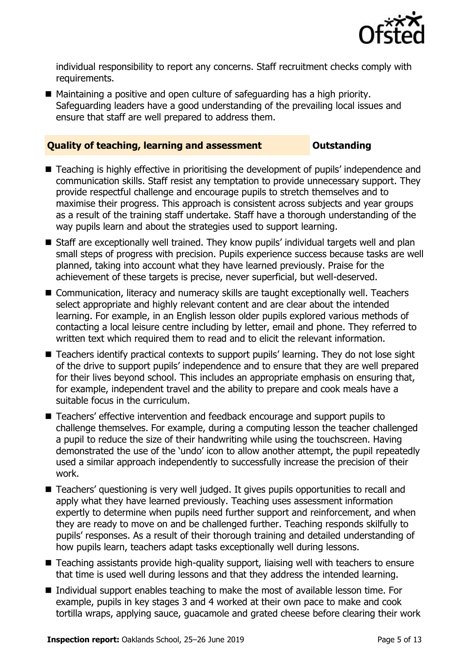

individual responsibility to report any concerns. Staff recruitment checks comply with requirements.

■ Maintaining a positive and open culture of safeguarding has a high priority. Safeguarding leaders have a good understanding of the prevailing local issues and ensure that staff are well prepared to address them.

#### **Quality of teaching, learning and assessment <b>COUTS** Outstanding

- Teaching is highly effective in prioritising the development of pupils' independence and communication skills. Staff resist any temptation to provide unnecessary support. They provide respectful challenge and encourage pupils to stretch themselves and to maximise their progress. This approach is consistent across subjects and year groups as a result of the training staff undertake. Staff have a thorough understanding of the way pupils learn and about the strategies used to support learning.
- Staff are exceptionally well trained. They know pupils' individual targets well and plan small steps of progress with precision. Pupils experience success because tasks are well planned, taking into account what they have learned previously. Praise for the achievement of these targets is precise, never superficial, but well-deserved.
- Communication, literacy and numeracy skills are taught exceptionally well. Teachers select appropriate and highly relevant content and are clear about the intended learning. For example, in an English lesson older pupils explored various methods of contacting a local leisure centre including by letter, email and phone. They referred to written text which required them to read and to elicit the relevant information.
- Teachers identify practical contexts to support pupils' learning. They do not lose sight of the drive to support pupils' independence and to ensure that they are well prepared for their lives beyond school. This includes an appropriate emphasis on ensuring that, for example, independent travel and the ability to prepare and cook meals have a suitable focus in the curriculum.
- Teachers' effective intervention and feedback encourage and support pupils to challenge themselves. For example, during a computing lesson the teacher challenged a pupil to reduce the size of their handwriting while using the touchscreen. Having demonstrated the use of the 'undo' icon to allow another attempt, the pupil repeatedly used a similar approach independently to successfully increase the precision of their work.
- Teachers' questioning is very well judged. It gives pupils opportunities to recall and apply what they have learned previously. Teaching uses assessment information expertly to determine when pupils need further support and reinforcement, and when they are ready to move on and be challenged further. Teaching responds skilfully to pupils' responses. As a result of their thorough training and detailed understanding of how pupils learn, teachers adapt tasks exceptionally well during lessons.
- Teaching assistants provide high-quality support, liaising well with teachers to ensure that time is used well during lessons and that they address the intended learning.
- Individual support enables teaching to make the most of available lesson time. For example, pupils in key stages 3 and 4 worked at their own pace to make and cook tortilla wraps, applying sauce, guacamole and grated cheese before clearing their work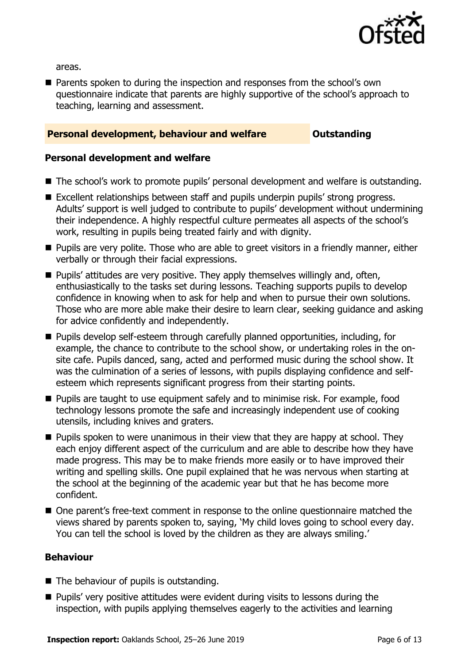

areas.

**Parents spoken to during the inspection and responses from the school's own** questionnaire indicate that parents are highly supportive of the school's approach to teaching, learning and assessment.

#### **Personal development, behaviour and welfare <b>COUNG COULDER** Outstanding

#### **Personal development and welfare**

- The school's work to promote pupils' personal development and welfare is outstanding.
- Excellent relationships between staff and pupils underpin pupils' strong progress. Adults' support is well judged to contribute to pupils' development without undermining their independence. A highly respectful culture permeates all aspects of the school's work, resulting in pupils being treated fairly and with dignity.
- **Pupils are very polite. Those who are able to greet visitors in a friendly manner, either** verbally or through their facial expressions.
- $\blacksquare$  Pupils' attitudes are very positive. They apply themselves willingly and, often, enthusiastically to the tasks set during lessons. Teaching supports pupils to develop confidence in knowing when to ask for help and when to pursue their own solutions. Those who are more able make their desire to learn clear, seeking guidance and asking for advice confidently and independently.
- **Pupils develop self-esteem through carefully planned opportunities, including, for** example, the chance to contribute to the school show, or undertaking roles in the onsite cafe. Pupils danced, sang, acted and performed music during the school show. It was the culmination of a series of lessons, with pupils displaying confidence and selfesteem which represents significant progress from their starting points.
- **Pupils are taught to use equipment safely and to minimise risk. For example, food** technology lessons promote the safe and increasingly independent use of cooking utensils, including knives and graters.
- **Pupils spoken to were unanimous in their view that they are happy at school. They** each enjoy different aspect of the curriculum and are able to describe how they have made progress. This may be to make friends more easily or to have improved their writing and spelling skills. One pupil explained that he was nervous when starting at the school at the beginning of the academic year but that he has become more confident.
- One parent's free-text comment in response to the online questionnaire matched the views shared by parents spoken to, saying, 'My child loves going to school every day. You can tell the school is loved by the children as they are always smiling.'

#### **Behaviour**

- The behaviour of pupils is outstanding.
- **Pupils' very positive attitudes were evident during visits to lessons during the** inspection, with pupils applying themselves eagerly to the activities and learning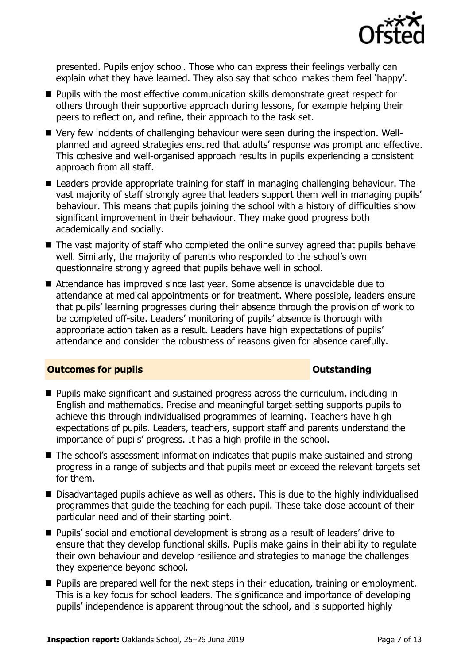

presented. Pupils enjoy school. Those who can express their feelings verbally can explain what they have learned. They also say that school makes them feel 'happy'.

- **Pupils with the most effective communication skills demonstrate great respect for** others through their supportive approach during lessons, for example helping their peers to reflect on, and refine, their approach to the task set.
- Very few incidents of challenging behaviour were seen during the inspection. Wellplanned and agreed strategies ensured that adults' response was prompt and effective. This cohesive and well-organised approach results in pupils experiencing a consistent approach from all staff.
- **E** Leaders provide appropriate training for staff in managing challenging behaviour. The vast majority of staff strongly agree that leaders support them well in managing pupils' behaviour. This means that pupils joining the school with a history of difficulties show significant improvement in their behaviour. They make good progress both academically and socially.
- The vast majority of staff who completed the online survey agreed that pupils behave well. Similarly, the majority of parents who responded to the school's own questionnaire strongly agreed that pupils behave well in school.
- Attendance has improved since last year. Some absence is unavoidable due to attendance at medical appointments or for treatment. Where possible, leaders ensure that pupils' learning progresses during their absence through the provision of work to be completed off-site. Leaders' monitoring of pupils' absence is thorough with appropriate action taken as a result. Leaders have high expectations of pupils' attendance and consider the robustness of reasons given for absence carefully.

#### **Outcomes for pupils Outstanding**

- **Pupils make significant and sustained progress across the curriculum, including in** English and mathematics. Precise and meaningful target-setting supports pupils to achieve this through individualised programmes of learning. Teachers have high expectations of pupils. Leaders, teachers, support staff and parents understand the importance of pupils' progress. It has a high profile in the school.
- The school's assessment information indicates that pupils make sustained and strong progress in a range of subjects and that pupils meet or exceed the relevant targets set for them.
- Disadvantaged pupils achieve as well as others. This is due to the highly individualised programmes that guide the teaching for each pupil. These take close account of their particular need and of their starting point.
- Pupils' social and emotional development is strong as a result of leaders' drive to ensure that they develop functional skills. Pupils make gains in their ability to regulate their own behaviour and develop resilience and strategies to manage the challenges they experience beyond school.
- **Pupils are prepared well for the next steps in their education, training or employment.** This is a key focus for school leaders. The significance and importance of developing pupils' independence is apparent throughout the school, and is supported highly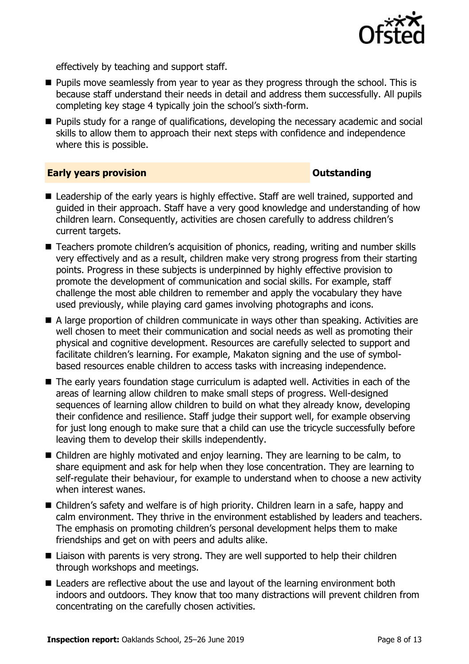

effectively by teaching and support staff.

- **Pupils move seamlessly from year to year as they progress through the school. This is** because staff understand their needs in detail and address them successfully. All pupils completing key stage 4 typically join the school's sixth-form.
- **Pupils study for a range of qualifications, developing the necessary academic and social** skills to allow them to approach their next steps with confidence and independence where this is possible.

#### **Early years provision CONSTANDING TO A RESEARCH CONSTANDING TO A RESEARCH CONSTANDING TO A RESEARCH CONSTANDING TO A RESEARCH CONSTANDING TO A RESEARCH CONSTANDING TO A RESEARCH CONSTANDING TO A RESEARCH CONSTANDING TO**

- Leadership of the early years is highly effective. Staff are well trained, supported and guided in their approach. Staff have a very good knowledge and understanding of how children learn. Consequently, activities are chosen carefully to address children's current targets.
- Teachers promote children's acquisition of phonics, reading, writing and number skills very effectively and as a result, children make very strong progress from their starting points. Progress in these subjects is underpinned by highly effective provision to promote the development of communication and social skills. For example, staff challenge the most able children to remember and apply the vocabulary they have used previously, while playing card games involving photographs and icons.
- A large proportion of children communicate in ways other than speaking. Activities are well chosen to meet their communication and social needs as well as promoting their physical and cognitive development. Resources are carefully selected to support and facilitate children's learning. For example, Makaton signing and the use of symbolbased resources enable children to access tasks with increasing independence.
- The early years foundation stage curriculum is adapted well. Activities in each of the areas of learning allow children to make small steps of progress. Well-designed sequences of learning allow children to build on what they already know, developing their confidence and resilience. Staff judge their support well, for example observing for just long enough to make sure that a child can use the tricycle successfully before leaving them to develop their skills independently.
- Children are highly motivated and enjoy learning. They are learning to be calm, to share equipment and ask for help when they lose concentration. They are learning to self-regulate their behaviour, for example to understand when to choose a new activity when interest wanes.
- Children's safety and welfare is of high priority. Children learn in a safe, happy and calm environment. They thrive in the environment established by leaders and teachers. The emphasis on promoting children's personal development helps them to make friendships and get on with peers and adults alike.
- Liaison with parents is very strong. They are well supported to help their children through workshops and meetings.
- Leaders are reflective about the use and layout of the learning environment both indoors and outdoors. They know that too many distractions will prevent children from concentrating on the carefully chosen activities.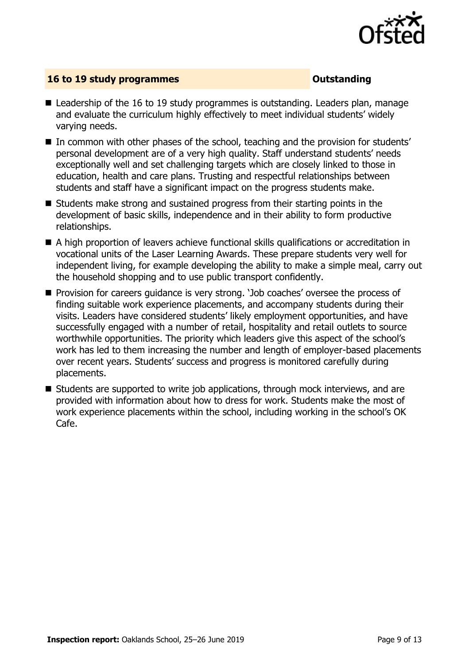

### **16 to 19 study programmes CONSTANDING CONSTANDING CONSTANDING CONSTANDING**

- Leadership of the 16 to 19 study programmes is outstanding. Leaders plan, manage and evaluate the curriculum highly effectively to meet individual students' widely varying needs.
- In common with other phases of the school, teaching and the provision for students' personal development are of a very high quality. Staff understand students' needs exceptionally well and set challenging targets which are closely linked to those in education, health and care plans. Trusting and respectful relationships between students and staff have a significant impact on the progress students make.
- Students make strong and sustained progress from their starting points in the development of basic skills, independence and in their ability to form productive relationships.
- A high proportion of leavers achieve functional skills qualifications or accreditation in vocational units of the Laser Learning Awards. These prepare students very well for independent living, for example developing the ability to make a simple meal, carry out the household shopping and to use public transport confidently.
- **Provision for careers quidance is very strong. 'Job coaches' oversee the process of** finding suitable work experience placements, and accompany students during their visits. Leaders have considered students' likely employment opportunities, and have successfully engaged with a number of retail, hospitality and retail outlets to source worthwhile opportunities. The priority which leaders give this aspect of the school's work has led to them increasing the number and length of employer-based placements over recent years. Students' success and progress is monitored carefully during placements.
- Students are supported to write job applications, through mock interviews, and are provided with information about how to dress for work. Students make the most of work experience placements within the school, including working in the school's OK Cafe.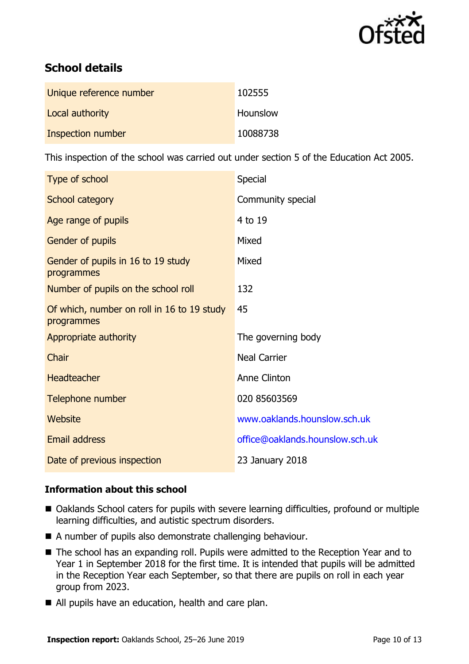

# **School details**

| Unique reference number | 102555   |
|-------------------------|----------|
| Local authority         | Hounslow |
| Inspection number       | 10088738 |

This inspection of the school was carried out under section 5 of the Education Act 2005.

| Type of school                                           | Special                         |
|----------------------------------------------------------|---------------------------------|
| School category                                          | Community special               |
| Age range of pupils                                      | 4 to 19                         |
| Gender of pupils                                         | Mixed                           |
| Gender of pupils in 16 to 19 study<br>programmes         | Mixed                           |
| Number of pupils on the school roll                      | 132                             |
| Of which, number on roll in 16 to 19 study<br>programmes | 45                              |
| Appropriate authority                                    | The governing body              |
| Chair                                                    | <b>Neal Carrier</b>             |
| <b>Headteacher</b>                                       | Anne Clinton                    |
| Telephone number                                         | 020 85603569                    |
| Website                                                  | www.oaklands.hounslow.sch.uk    |
| <b>Email address</b>                                     | office@oaklands.hounslow.sch.uk |
| Date of previous inspection                              | 23 January 2018                 |

### **Information about this school**

- Oaklands School caters for pupils with severe learning difficulties, profound or multiple learning difficulties, and autistic spectrum disorders.
- A number of pupils also demonstrate challenging behaviour.
- The school has an expanding roll. Pupils were admitted to the Reception Year and to Year 1 in September 2018 for the first time. It is intended that pupils will be admitted in the Reception Year each September, so that there are pupils on roll in each year group from 2023.
- All pupils have an education, health and care plan.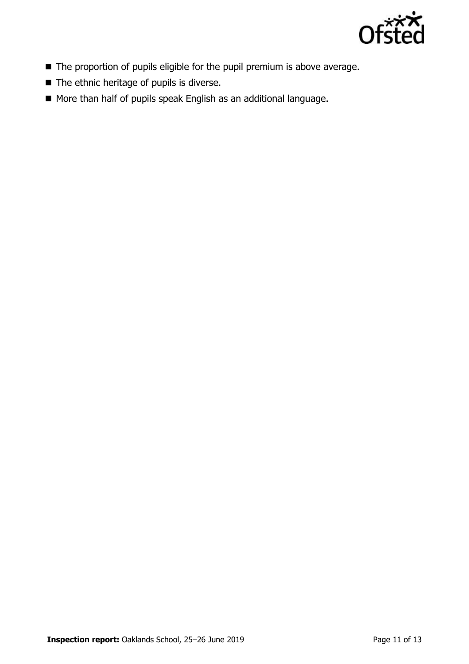

- The proportion of pupils eligible for the pupil premium is above average.
- $\blacksquare$  The ethnic heritage of pupils is diverse.
- More than half of pupils speak English as an additional language.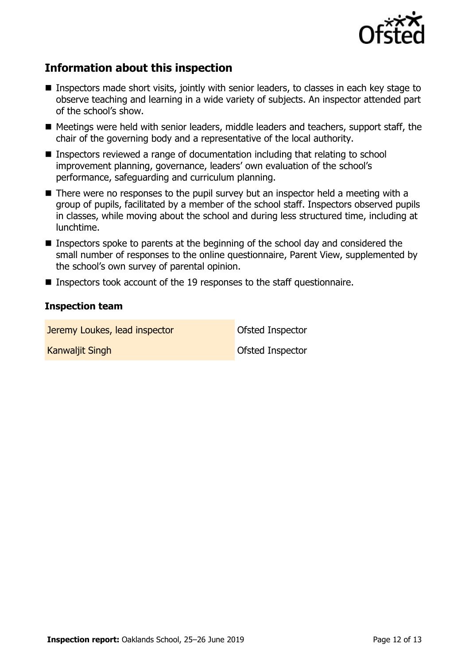

# **Information about this inspection**

- Inspectors made short visits, jointly with senior leaders, to classes in each key stage to observe teaching and learning in a wide variety of subjects. An inspector attended part of the school's show.
- Meetings were held with senior leaders, middle leaders and teachers, support staff, the chair of the governing body and a representative of the local authority.
- Inspectors reviewed a range of documentation including that relating to school improvement planning, governance, leaders' own evaluation of the school's performance, safeguarding and curriculum planning.
- There were no responses to the pupil survey but an inspector held a meeting with a group of pupils, facilitated by a member of the school staff. Inspectors observed pupils in classes, while moving about the school and during less structured time, including at lunchtime.
- Inspectors spoke to parents at the beginning of the school day and considered the small number of responses to the online questionnaire, Parent View, supplemented by the school's own survey of parental opinion.
- **Inspectors took account of the 19 responses to the staff questionnaire.**

#### **Inspection team**

Jeremy Loukes, lead inspector **Development Constant** Ofsted Inspector **Kanwaliit Singh Community Community Community** Construction Construction Construction Community Community Community